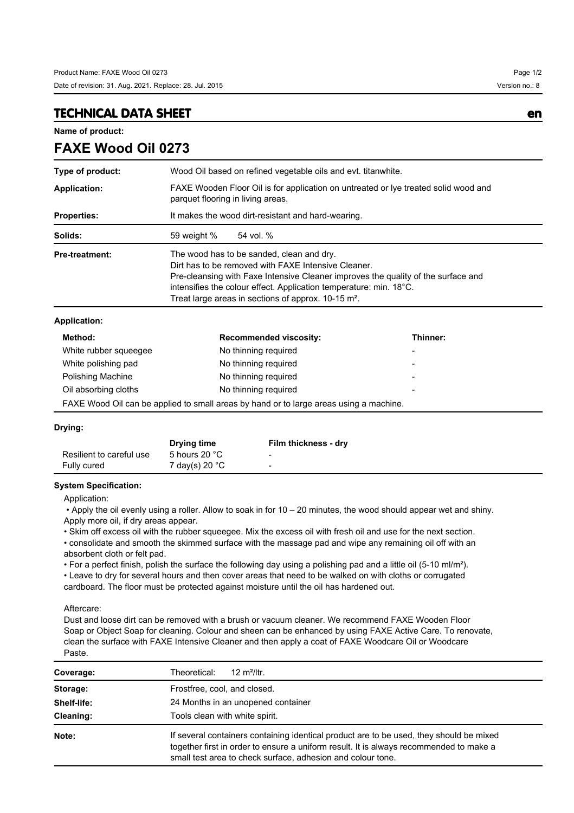## **TECHNICAL DATA SHEET en**

**FAXE Wood Oil 0273**

**Name of product:**

| Type of product:      | Wood Oil based on refined vegetable oils and evt. titanwhite.                                                                                                                                                                                                                                                                               |                               |          |  |
|-----------------------|---------------------------------------------------------------------------------------------------------------------------------------------------------------------------------------------------------------------------------------------------------------------------------------------------------------------------------------------|-------------------------------|----------|--|
| <b>Application:</b>   | FAXE Wooden Floor Oil is for application on untreated or lye treated solid wood and<br>parquet flooring in living areas.                                                                                                                                                                                                                    |                               |          |  |
| <b>Properties:</b>    | It makes the wood dirt-resistant and hard-wearing.                                                                                                                                                                                                                                                                                          |                               |          |  |
| Solids:               | 59 weight %                                                                                                                                                                                                                                                                                                                                 | 54 vol. %                     |          |  |
| <b>Pre-treatment:</b> | The wood has to be sanded, clean and dry.<br>Dirt has to be removed with FAXE Intensive Cleaner.<br>Pre-cleansing with Faxe Intensive Cleaner improves the quality of the surface and<br>intensifies the colour effect. Application temperature: min. 18 <sup>°</sup> C.<br>Treat large areas in sections of approx. 10-15 m <sup>2</sup> . |                               |          |  |
| <b>Application:</b>   |                                                                                                                                                                                                                                                                                                                                             |                               |          |  |
| Method:               |                                                                                                                                                                                                                                                                                                                                             | <b>Recommended viscosity:</b> | Thinner: |  |
| White rubber squeeqee |                                                                                                                                                                                                                                                                                                                                             | No thinning reguired          |          |  |

| meurvu.                                                                                | <b>NECOMMITATION</b> VISCOSILY. | ,,,,,,,,,,,              |  |  |
|----------------------------------------------------------------------------------------|---------------------------------|--------------------------|--|--|
| White rubber squeeqee                                                                  | No thinning required            |                          |  |  |
| White polishing pad                                                                    | No thinning required            | -                        |  |  |
| Polishing Machine                                                                      | No thinning required            | $\overline{\phantom{0}}$ |  |  |
| Oil absorbing cloths                                                                   | No thinning required            | $\overline{\phantom{0}}$ |  |  |
| FAXE Wood Oil can be applied to small areas by hand or to large areas using a machine. |                                 |                          |  |  |

### **Drying:**

|                          | Drying time             | Film thickness - dry |
|--------------------------|-------------------------|----------------------|
| Resilient to careful use | 5 hours 20 $^{\circ}$ C | -                    |
| Fully cured              | 7 day(s) 20 °C          | -                    |

### **System Specification:**

Application:

 • Apply the oil evenly using a roller. Allow to soak in for 10 – 20 minutes, the wood should appear wet and shiny. Apply more oil, if dry areas appear.

• Skim off excess oil with the rubber squeegee. Mix the excess oil with fresh oil and use for the next section. • consolidate and smooth the skimmed surface with the massage pad and wipe any remaining oil off with an absorbent cloth or felt pad.

• For a perfect finish, polish the surface the following day using a polishing pad and a little oil (5-10 ml/m²).

• Leave to dry for several hours and then cover areas that need to be walked on with cloths or corrugated cardboard. The floor must be protected against moisture until the oil has hardened out.

#### Aftercare:

Dust and loose dirt can be removed with a brush or vacuum cleaner. We recommend FAXE Wooden Floor Soap or Object Soap for cleaning. Colour and sheen can be enhanced by using FAXE Active Care. To renovate, clean the surface with FAXE Intensive Cleaner and then apply a coat of FAXE Woodcare Oil or Woodcare Paste.

| Coverage:   | 12 $m^2$ /ltr.<br>Theoretical:                                                                                                                                                                                                                   |  |  |  |
|-------------|--------------------------------------------------------------------------------------------------------------------------------------------------------------------------------------------------------------------------------------------------|--|--|--|
| Storage:    | Frostfree, cool, and closed.                                                                                                                                                                                                                     |  |  |  |
| Shelf-life: | 24 Months in an unopened container                                                                                                                                                                                                               |  |  |  |
| Cleaning:   | Tools clean with white spirit.                                                                                                                                                                                                                   |  |  |  |
| Note:       | If several containers containing identical product are to be used, they should be mixed<br>together first in order to ensure a uniform result. It is always recommended to make a<br>small test area to check surface, adhesion and colour tone. |  |  |  |